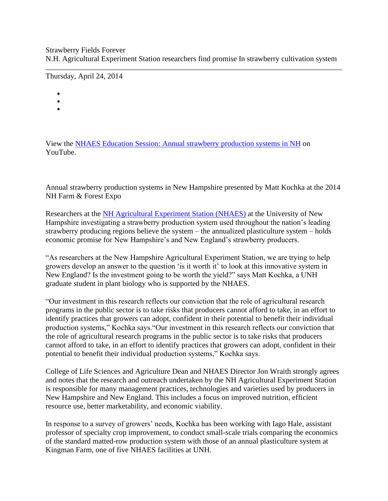## Strawberry Fields Forever N.H. Agricultural Experiment Station researchers find promise In strawberry cultivation system

Thursday, April 24, 2014

- •
- •
- •

View the [NHAES Education Session: Annual strawberry production systems in NH](https://youtu.be/5nIyP5aj278) on YouTube.

Annual strawberry production systems in New Hampshire presented by Matt Kochka at the 2014 NH Farm & Forest Expo

Researchers at the [NH Agricultural Experiment Station \(NHAES\)](http://www.colsa.unh.edu/aes) at the University of New Hampshire investigating a strawberry production system used throughout the nation's leading strawberry producing regions believe the system – the annualized plasticulture system – holds economic promise for New Hampshire's and New England's strawberry producers.

"As researchers at the New Hampshire Agricultural Experiment Station, we are trying to help growers develop an answer to the question 'is it worth it' to look at this innovative system in New England? Is the investment going to be worth the yield?" says Matt Kochka, a UNH graduate student in plant biology who is supported by the NHAES.

"Our investment in this research reflects our conviction that the role of agricultural research programs in the public sector is to take risks that producers cannot afford to take, in an effort to identify practices that growers can adopt, confident in their potential to benefit their individual production systems," Kochka says."Our investment in this research reflects our conviction that the role of agricultural research programs in the public sector is to take risks that producers cannot afford to take, in an effort to identify practices that growers can adopt, confident in their potential to benefit their individual production systems," Kochka says.

College of Life Sciences and Agriculture Dean and NHAES Director Jon Wraith strongly agrees and notes that the research and outreach undertaken by the NH Agricultural Experiment Station is responsible for many management practices, technologies and varieties used by producers in New Hampshire and New England. This includes a focus on improved nutrition, efficient resource use, better marketability, and economic viability.

In response to a survey of growers' needs, Kochka has been working with Iago Hale, assistant professor of specialty crop improvement, to conduct small-scale trials comparing the economics of the standard matted-row production system with those of an annual plasticulture system at Kingman Farm, one of five NHAES facilities at UNH.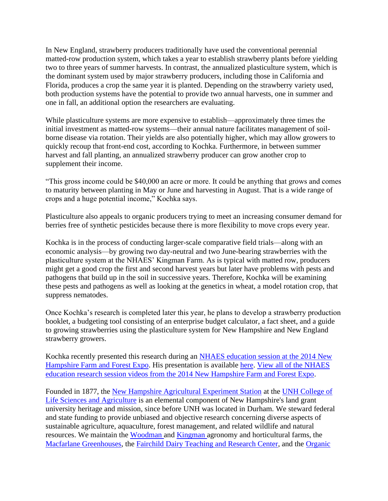In New England, strawberry producers traditionally have used the conventional perennial matted-row production system, which takes a year to establish strawberry plants before yielding two to three years of summer harvests. In contrast, the annualized plasticulture system, which is the dominant system used by major strawberry producers, including those in California and Florida, produces a crop the same year it is planted. Depending on the strawberry variety used, both production systems have the potential to provide two annual harvests, one in summer and one in fall, an additional option the researchers are evaluating.

While plasticulture systems are more expensive to establish—approximately three times the initial investment as matted-row systems—their annual nature facilitates management of soilborne disease via rotation. Their yields are also potentially higher, which may allow growers to quickly recoup that front-end cost, according to Kochka. Furthermore, in between summer harvest and fall planting, an annualized strawberry producer can grow another crop to supplement their income.

"This gross income could be \$40,000 an acre or more. It could be anything that grows and comes to maturity between planting in May or June and harvesting in August. That is a wide range of crops and a huge potential income," Kochka says.

Plasticulture also appeals to organic producers trying to meet an increasing consumer demand for berries free of synthetic pesticides because there is more flexibility to move crops every year.

Kochka is in the process of conducting larger-scale comparative field trials—along with an economic analysis—by growing two day-neutral and two June-bearing strawberries with the plasticulture system at the NHAES' Kingman Farm. As is typical with matted row, producers might get a good crop the first and second harvest years but later have problems with pests and pathogens that build up in the soil in successive years. Therefore, Kochka will be examining these pests and pathogens as well as looking at the genetics in wheat, a model rotation crop, that suppress nematodes.

Once Kochka's research is completed later this year, he plans to develop a strawberry production booklet, a budgeting tool consisting of an enterprise budget calculator, a fact sheet, and a guide to growing strawberries using the plasticulture system for New Hampshire and New England strawberry growers.

Kochka recently presented this research during an [NHAES education session at the 2014 New](https://www.unh.edu/unhtoday/Kochka%20recently%20presented%20this%20research%20during%20an%20NHAES%20education%20session%20at%20the%202014%20New%20Hampshire%20Farm%20and%20Forest%20Expo.%20His%20presentation%20is%20available%20at%20https%3A/www.youtube.com/watch?v=5nIyP5aj278&list=PLIV5m_SmQxYTm6ShIWEpVdYwL1iNJZaPt.%20All%20of%20the%20NHAES%20education%20research%20session%20videos%20from%20the%202014%20New%20Hampshire%20Farm%20and%20Forest%20Expo%20are%20available%20at%20http%3A//www.colsa.unh.edu/aes/farm-forest-2014.%20%20%20Founded%20in%201877%2C%20the%20New%20Hampshire%20Agricultural%20Experiment%20Station%20at%20the%20UNH%20College%20of%20Life%20Sciences%20and%20Agriculture%20is%20an%20elemental%20component%20of%20New%20Hampshire%27s%20land%20grant%20university%20heritage%20and%20mission%2C%20since%20before%20UNH%20was%20located%20in%20Durham.%20We%20steward%20federal%20and%20state%20funding%20to%20provide%20unbiased%20and%20objective%20research%20concerning%20diverse%20aspects%20of%20sustainable%20agriculture%2C%20aquaculture%2C%20forest%20management%2C%20and%20related%20wildlife%20and%20natural%20resources.%20We%20maintain%20the%20Woodman%20and%20Kingman%20agronomy%20and%20horticultural%20farms%2C%20the%20Macfarlane%20Greenhouses%2C%20the%20Fairchild%20Dairy%20Teaching%20and%20Research%20Center%2C%20and%20the%20Organic%20Dairy%20Research%20Farm.%20Additional%20properties%20also%20provide%20forage%2C%20forests%20and%20woodlands%20in%20direct%20support%20to%20research%2C%20teaching%2C%20and%20outreach.)  [Hampshire Farm and Forest Expo.](https://www.unh.edu/unhtoday/Kochka%20recently%20presented%20this%20research%20during%20an%20NHAES%20education%20session%20at%20the%202014%20New%20Hampshire%20Farm%20and%20Forest%20Expo.%20His%20presentation%20is%20available%20at%20https%3A/www.youtube.com/watch?v=5nIyP5aj278&list=PLIV5m_SmQxYTm6ShIWEpVdYwL1iNJZaPt.%20All%20of%20the%20NHAES%20education%20research%20session%20videos%20from%20the%202014%20New%20Hampshire%20Farm%20and%20Forest%20Expo%20are%20available%20at%20http%3A//www.colsa.unh.edu/aes/farm-forest-2014.%20%20%20Founded%20in%201877%2C%20the%20New%20Hampshire%20Agricultural%20Experiment%20Station%20at%20the%20UNH%20College%20of%20Life%20Sciences%20and%20Agriculture%20is%20an%20elemental%20component%20of%20New%20Hampshire%27s%20land%20grant%20university%20heritage%20and%20mission%2C%20since%20before%20UNH%20was%20located%20in%20Durham.%20We%20steward%20federal%20and%20state%20funding%20to%20provide%20unbiased%20and%20objective%20research%20concerning%20diverse%20aspects%20of%20sustainable%20agriculture%2C%20aquaculture%2C%20forest%20management%2C%20and%20related%20wildlife%20and%20natural%20resources.%20We%20maintain%20the%20Woodman%20and%20Kingman%20agronomy%20and%20horticultural%20farms%2C%20the%20Macfarlane%20Greenhouses%2C%20the%20Fairchild%20Dairy%20Teaching%20and%20Research%20Center%2C%20and%20the%20Organic%20Dairy%20Research%20Farm.%20Additional%20properties%20also%20provide%20forage%2C%20forests%20and%20woodlands%20in%20direct%20support%20to%20research%2C%20teaching%2C%20and%20outreach.) His presentation is available [here.](https://www.youtube.com/watch?v=5nIyP5aj278&list=PLIV5m_SmQxYTm6ShIWEpVdYwL1iNJZaPt) [View all of the NHAES](http://www.colsa.unh.edu/aes/farm-forest-2014)  [education research session videos from the 2014 New Hampshire Farm and Forest Expo.](http://www.colsa.unh.edu/aes/farm-forest-2014)

Founded in 1877, the [New Hampshire Agricultural Experiment Station](http://www.colsa.unh.edu/aes) at the [UNH College of](http://www.colsa.unh.edu/)  [Life Sciences and Agriculture](http://www.colsa.unh.edu/) is an elemental component of New Hampshire's land grant university heritage and mission, since before UNH was located in Durham. We steward federal and state funding to provide unbiased and objective research concerning diverse aspects of sustainable agriculture, aquaculture, forest management, and related wildlife and natural resources. We maintain the [Woodman a](http://www.colsa.unh.edu/aes/woodman)nd [Kingman a](http://www.colsa.unh.edu/aes/kingman)gronomy and horticultural farms, the [Macfarlane Greenhouses,](http://www.colsa.unh.edu/aes/macfarlane) the [Fairchild Dairy Teaching and Research Center,](http://www.colsa.unh.edu/aes/fairchild) and the [Organic](http://www.colsa.unh.edu/aes/odrf)